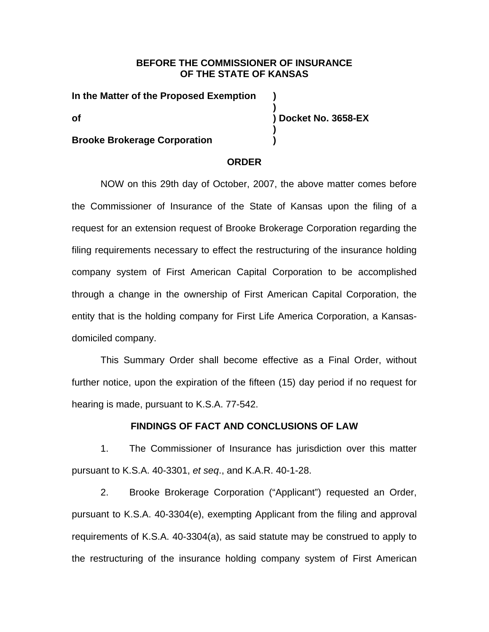# **BEFORE THE COMMISSIONER OF INSURANCE OF THE STATE OF KANSAS**

**)** 

**)** 

**In the Matter of the Proposed Exemption ) of ) Docket No. 3658-EX** 

## **Brooke Brokerage Corporation )**

## **ORDER**

NOW on this 29th day of October, 2007, the above matter comes before the Commissioner of Insurance of the State of Kansas upon the filing of a request for an extension request of Brooke Brokerage Corporation regarding the filing requirements necessary to effect the restructuring of the insurance holding company system of First American Capital Corporation to be accomplished through a change in the ownership of First American Capital Corporation, the entity that is the holding company for First Life America Corporation, a Kansasdomiciled company.

This Summary Order shall become effective as a Final Order, without further notice, upon the expiration of the fifteen (15) day period if no request for hearing is made, pursuant to K.S.A. 77-542.

### **FINDINGS OF FACT AND CONCLUSIONS OF LAW**

1. The Commissioner of Insurance has jurisdiction over this matter pursuant to K.S.A. 40-3301, *et seq*., and K.A.R. 40-1-28.

2. Brooke Brokerage Corporation ("Applicant") requested an Order, pursuant to K.S.A. 40-3304(e), exempting Applicant from the filing and approval requirements of K.S.A. 40-3304(a), as said statute may be construed to apply to the restructuring of the insurance holding company system of First American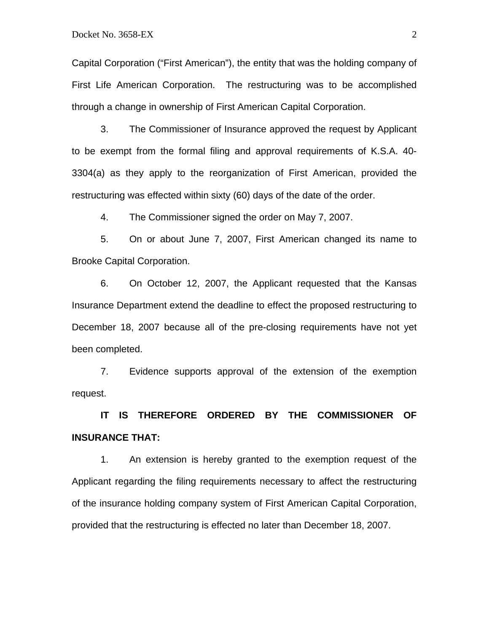Capital Corporation ("First American"), the entity that was the holding company of First Life American Corporation. The restructuring was to be accomplished through a change in ownership of First American Capital Corporation.

3. The Commissioner of Insurance approved the request by Applicant to be exempt from the formal filing and approval requirements of K.S.A. 40- 3304(a) as they apply to the reorganization of First American, provided the restructuring was effected within sixty (60) days of the date of the order.

4. The Commissioner signed the order on May 7, 2007.

5. On or about June 7, 2007, First American changed its name to Brooke Capital Corporation.

6. On October 12, 2007, the Applicant requested that the Kansas Insurance Department extend the deadline to effect the proposed restructuring to December 18, 2007 because all of the pre-closing requirements have not yet been completed.

7. Evidence supports approval of the extension of the exemption request.

**IT IS THEREFORE ORDERED BY THE COMMISSIONER OF INSURANCE THAT:** 

1. An extension is hereby granted to the exemption request of the Applicant regarding the filing requirements necessary to affect the restructuring of the insurance holding company system of First American Capital Corporation, provided that the restructuring is effected no later than December 18, 2007.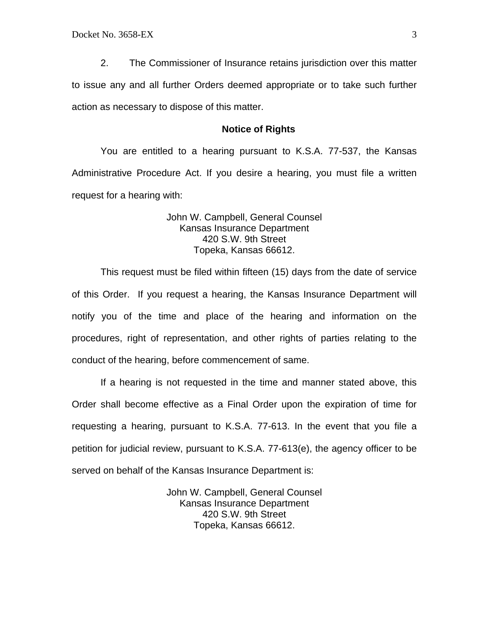2. The Commissioner of Insurance retains jurisdiction over this matter to issue any and all further Orders deemed appropriate or to take such further action as necessary to dispose of this matter.

#### **Notice of Rights**

You are entitled to a hearing pursuant to K.S.A. 77-537, the Kansas Administrative Procedure Act. If you desire a hearing, you must file a written request for a hearing with:

## John W. Campbell, General Counsel Kansas Insurance Department 420 S.W. 9th Street Topeka, Kansas 66612.

This request must be filed within fifteen (15) days from the date of service of this Order. If you request a hearing, the Kansas Insurance Department will notify you of the time and place of the hearing and information on the procedures, right of representation, and other rights of parties relating to the conduct of the hearing, before commencement of same.

If a hearing is not requested in the time and manner stated above, this Order shall become effective as a Final Order upon the expiration of time for requesting a hearing, pursuant to K.S.A. 77-613. In the event that you file a petition for judicial review, pursuant to K.S.A. 77-613(e), the agency officer to be served on behalf of the Kansas Insurance Department is:

> John W. Campbell, General Counsel Kansas Insurance Department 420 S.W. 9th Street Topeka, Kansas 66612.